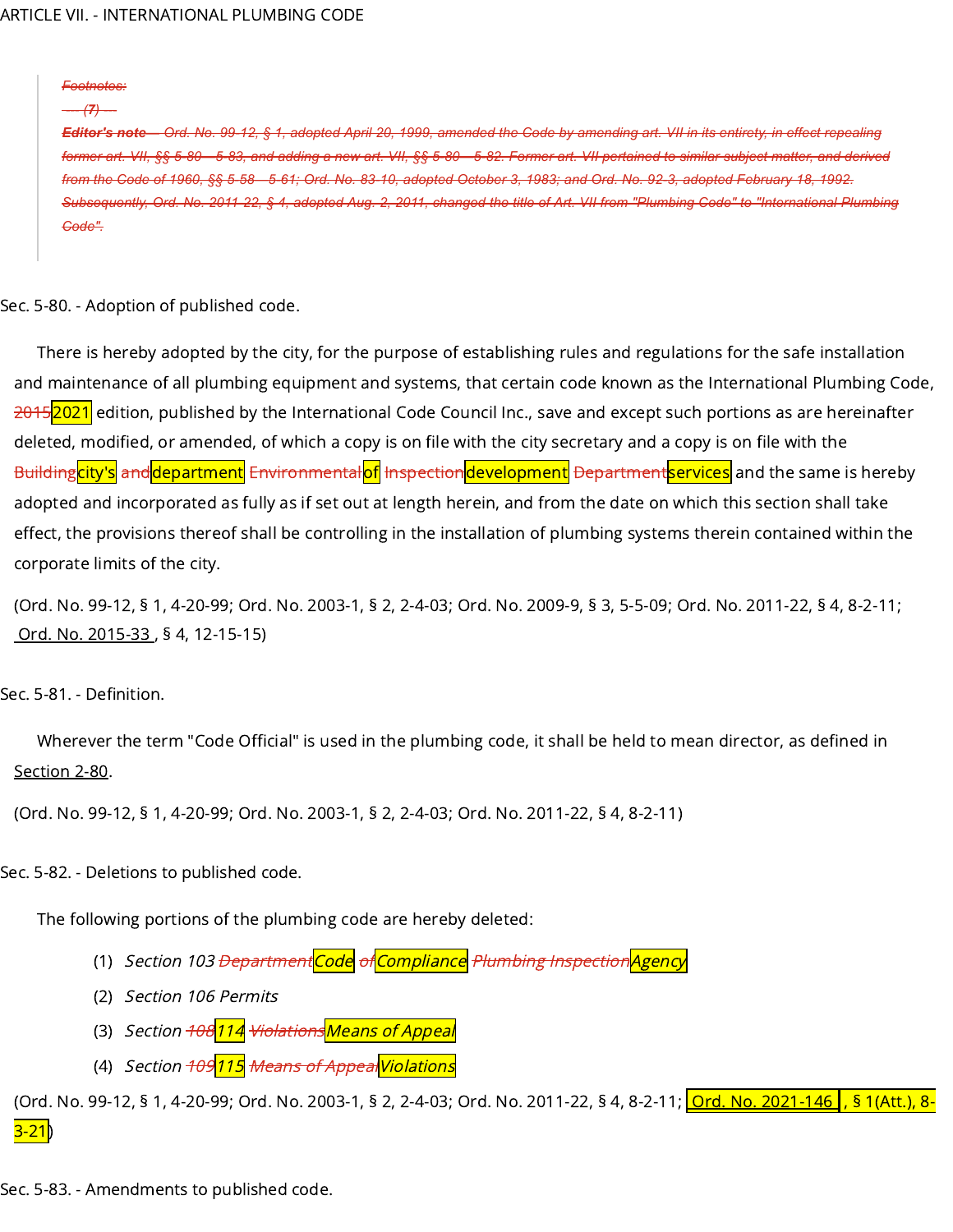*Footnotes:*

*--- (7) ---*

Editor's note— Ord. No. 99-12, § 1, adopted April 20, 1999, amended the Gode by amending art. VII in its entirety, in effect repealing former art. VII, §§ 5-80-5-83, and adding a new art. VII, §§ 5-80-5-82. Former art. VII pertained to similar subject matter, and derived Code of 1960, §§ 5-58-5-61; Ord. No. 83-10, adopted October 3, 1983; and Ord. No. 92-3, adopted February 18, 1992. Subsequently, Ord. No. 2011-22, § 4, adopted Aug. 2, 2011, changed the title of Art. VII from "Plumbing Code" to "International Plumbing *Code".*

Sec. 5-80. - Adoption of published code.

There is hereby adopted by the city, for the purpose of establishing rules and regulations for the safe installation and maintenance of all plumbing equipment and systems, that certain code known as the International Plumbing Code, 20152021 edition, published by the International Code Council Inc., save and except such portions as are hereinafter deleted, modified, or amended, of which a copy is on file with the city secretary and a copy is on file with the Building<mark>city's</mark> and department Environmental of Inspection development Department services and the same is hereby adopted and incorporated as fully as if set out at length herein, and from the date on which this section shall take effect, the provisions thereof shall be controlling in the installation of plumbing systems therein contained within the corporate limits of the city.

(Ord. No. 99-12, § 1, 4-20-99; Ord. No. 2003-1, § 2, 2-4-03; Ord. No. 2009-9, § 3, 5-5-09; Ord. No. 2011-22, § 4, 8-2-11; [Ord.](https://library.municode.com/) No. [2015-33](https://library.municode.com/) , § 4, 12-15-15)

Sec. 5-81. - Definition.

Wherever the term "Code Official" is used in the plumbing code, it shall be held to mean director, as defined in [Section](https://library.municode.com/) 2-80.

(Ord. No. 99-12, § 1, 4-20-99; Ord. No. 2003-1, § 2, 2-4-03; Ord. No. 2011-22, § 4, 8-2-11)

Sec. 5-82. - Deletions to published code.

The following portions of the plumbing code are hereby deleted:

- (1) Section *103 <del>Department</del>Code <del>of</del>Compliance Plumbing Inspection|Agency*
- (2) Section 106 Permits
- (3) *Section <del>108</del>114 <del>Violations</del>Means of Appeal*
- (4) *Section <del>109<mark>115</mark> Means of Appeal <mark>Violations</mark> </del>*

(Ord. No. 99-12, § 1, 4-20-99; Ord. No. 2003-1, § 2, 2-4-03; Ord. No. 2011-22, § 4, 8-2-11; <mark>Ord. No. [2021-146](https://library.municode.com/) , § 1(Att.), 8-</mark>  $3 - 21$